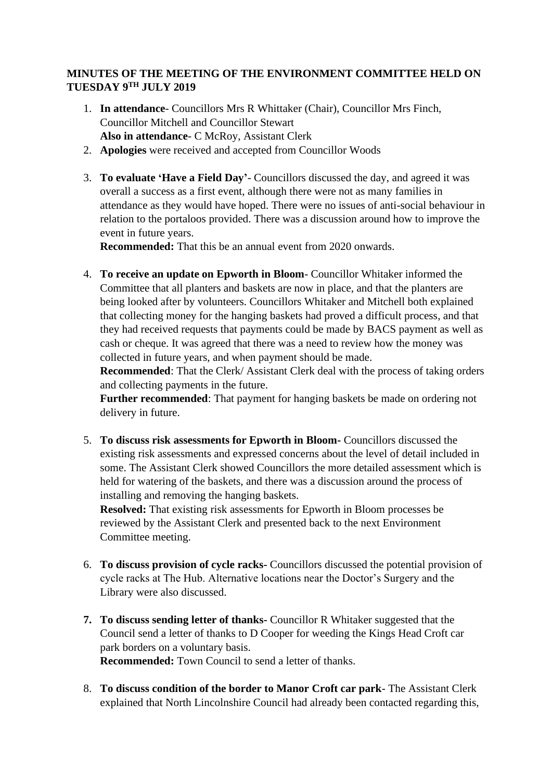## **MINUTES OF THE MEETING OF THE ENVIRONMENT COMMITTEE HELD ON TUESDAY 9TH JULY 2019**

- 1. **In attendance** Councillors Mrs R Whittaker (Chair), Councillor Mrs Finch, Councillor Mitchell and Councillor Stewart **Also in attendance**- C McRoy, Assistant Clerk
- 2. **Apologies** were received and accepted from Councillor Woods
- 3. **To evaluate 'Have a Field Day'** Councillors discussed the day, and agreed it was overall a success as a first event, although there were not as many families in attendance as they would have hoped. There were no issues of anti-social behaviour in relation to the portaloos provided. There was a discussion around how to improve the event in future years.

**Recommended:** That this be an annual event from 2020 onwards.

4. **To receive an update on Epworth in Bloom**- Councillor Whitaker informed the Committee that all planters and baskets are now in place, and that the planters are being looked after by volunteers. Councillors Whitaker and Mitchell both explained that collecting money for the hanging baskets had proved a difficult process, and that they had received requests that payments could be made by BACS payment as well as cash or cheque. It was agreed that there was a need to review how the money was collected in future years, and when payment should be made.

**Recommended**: That the Clerk/ Assistant Clerk deal with the process of taking orders and collecting payments in the future.

**Further recommended**: That payment for hanging baskets be made on ordering not delivery in future.

5. **To discuss risk assessments for Epworth in Bloom-** Councillors discussed the existing risk assessments and expressed concerns about the level of detail included in some. The Assistant Clerk showed Councillors the more detailed assessment which is held for watering of the baskets, and there was a discussion around the process of installing and removing the hanging baskets.

**Resolved:** That existing risk assessments for Epworth in Bloom processes be reviewed by the Assistant Clerk and presented back to the next Environment Committee meeting.

- 6. **To discuss provision of cycle racks-** Councillors discussed the potential provision of cycle racks at The Hub. Alternative locations near the Doctor's Surgery and the Library were also discussed.
- **7. To discuss sending letter of thanks-** Councillor R Whitaker suggested that the Council send a letter of thanks to D Cooper for weeding the Kings Head Croft car park borders on a voluntary basis. **Recommended:** Town Council to send a letter of thanks.
- 8. **To discuss condition of the border to Manor Croft car park** The Assistant Clerk explained that North Lincolnshire Council had already been contacted regarding this,